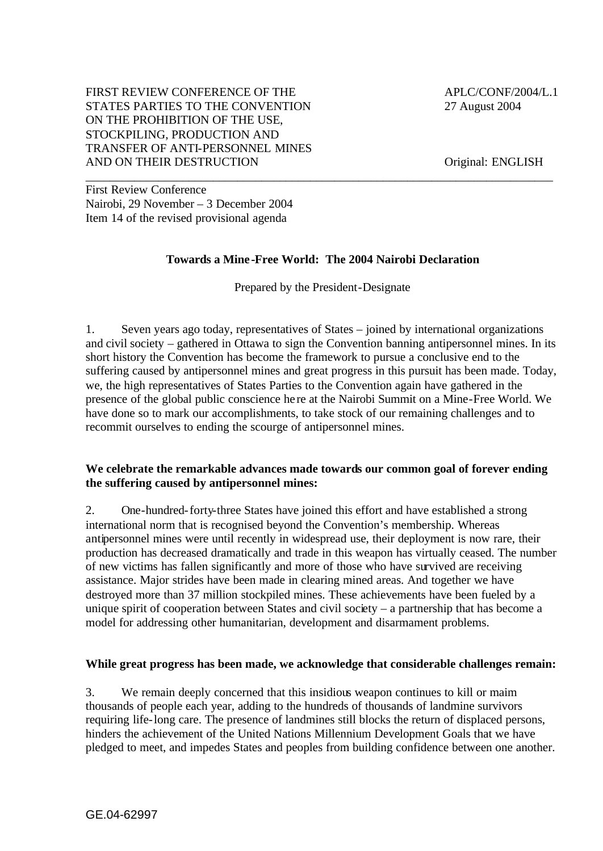### FIRST REVIEW CONFERENCE OF THE  $APLC/CONF/2004/L.1$ STATES PARTIES TO THE CONVENTION 27 August 2004 ON THE PROHIBITION OF THE USE, STOCKPILING, PRODUCTION AND TRANSFER OF ANTI-PERSONNEL MINES AND ON THEIR DESTRUCTION Original: ENGLISH

First Review Conference Nairobi, 29 November – 3 December 2004 Item 14 of the revised provisional agenda

# **Towards a Mine -Free World: The 2004 Nairobi Declaration**

\_\_\_\_\_\_\_\_\_\_\_\_\_\_\_\_\_\_\_\_\_\_\_\_\_\_\_\_\_\_\_\_\_\_\_\_\_\_\_\_\_\_\_\_\_\_\_\_\_\_\_\_\_\_\_\_\_\_\_\_\_\_\_\_\_\_\_\_\_\_\_\_\_\_\_\_\_

Prepared by the President-Designate

1. Seven years ago today, representatives of States – joined by international organizations and civil society – gathered in Ottawa to sign the Convention banning antipersonnel mines. In its short history the Convention has become the framework to pursue a conclusive end to the suffering caused by antipersonnel mines and great progress in this pursuit has been made. Today, we, the high representatives of States Parties to the Convention again have gathered in the presence of the global public conscience he re at the Nairobi Summit on a Mine-Free World. We have done so to mark our accomplishments, to take stock of our remaining challenges and to recommit ourselves to ending the scourge of antipersonnel mines.

### **We celebrate the remarkable advances made towards our common goal of forever ending the suffering caused by antipersonnel mines:**

2. One-hundred-forty-three States have joined this effort and have established a strong international norm that is recognised beyond the Convention's membership. Whereas antipersonnel mines were until recently in widespread use, their deployment is now rare, their production has decreased dramatically and trade in this weapon has virtually ceased. The number of new victims has fallen significantly and more of those who have survived are receiving assistance. Major strides have been made in clearing mined areas. And together we have destroyed more than 37 million stockpiled mines. These achievements have been fueled by a unique spirit of cooperation between States and civil society – a partnership that has become a model for addressing other humanitarian, development and disarmament problems.

#### **While great progress has been made, we acknowledge that considerable challenges remain:**

3. We remain deeply concerned that this insidious weapon continues to kill or maim thousands of people each year, adding to the hundreds of thousands of landmine survivors requiring life-long care. The presence of landmines still blocks the return of displaced persons, hinders the achievement of the United Nations Millennium Development Goals that we have pledged to meet, and impedes States and peoples from building confidence between one another.